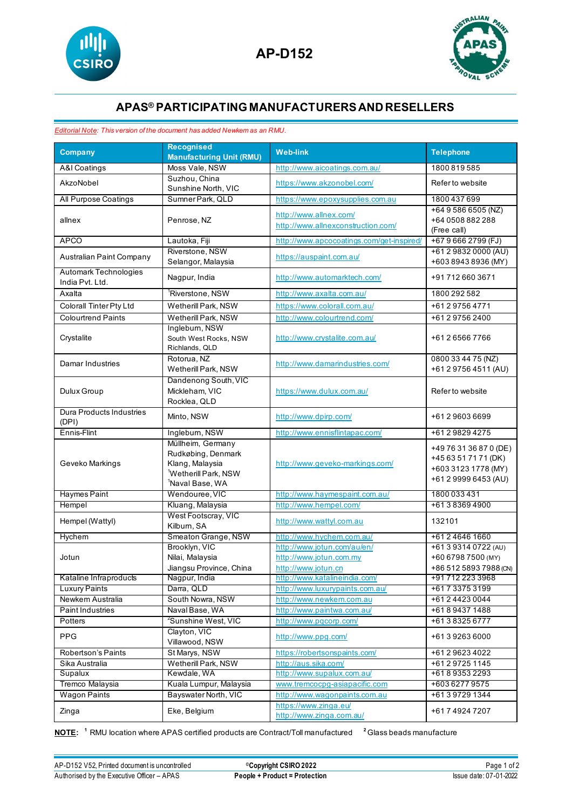



## **APAS® PARTICIPATING MANUFACTURERSAND RESELLERS**

## *Editorial Note: This version of the document has added Newkem as an RMU.*

| <b>Company</b>                           | <b>Recognised</b><br><b>Manufacturing Unit (RMU)</b> | <b>Web-link</b>                                             | <b>Telephone</b>                   |
|------------------------------------------|------------------------------------------------------|-------------------------------------------------------------|------------------------------------|
| <b>A&amp;I</b> Coatings                  | Moss Vale, NSW                                       | http://www.aicoatings.com.au/                               | 1800 819 585                       |
|                                          | Suzhou, China                                        |                                                             |                                    |
| AkzoNobel                                | Sunshine North, VIC                                  | https://www.akzonobel.com/                                  | Refer to website                   |
| All Purpose Coatings                     | Sumner Park, QLD                                     | https://www.epoxysupplies.com.au                            | 1800 437 699                       |
|                                          |                                                      | http://www.allnex.com/                                      | +64 9 586 6505 (NZ)                |
| allnex                                   | Penrose, NZ                                          | http://www.allnexconstruction.com/                          | +64 0508 882 288                   |
| <b>APCO</b>                              | Lautoka, Fiji                                        | http://www.apcocoatings.com/get-inspired/                   | (Free call)<br>+67 9 666 2799 (FJ) |
|                                          | Riverstone, NSW                                      |                                                             | +61 2 9832 0000 (AU)               |
| Australian Paint Company                 | Selangor, Malaysia                                   | https://auspaint.com.au/                                    | +603 8943 8936 (MY)                |
| Automark Technologies                    |                                                      |                                                             |                                    |
| India Pvt. Ltd.                          | Nagpur, India                                        | http://www.automarktech.com/                                | +917126603671                      |
| Axalta                                   | <sup>1</sup> Riverstone, NSW                         | http://www.axalta.com.au/                                   | 1800 292 582                       |
| Colorall Tinter Pty Ltd                  | Wetherill Park, NSW                                  | https://www.colorall.com.au/                                | +61297564771                       |
| <b>Colourtrend Paints</b>                | Wetherill Park, NSW                                  | http://www.colourtrend.com/                                 | +61 2 9756 2400                    |
|                                          | Inglebum, NSW                                        |                                                             |                                    |
| Crystalite                               | South West Rocks, NSW                                | http://www.crystalite.com.au/                               | +61265667766                       |
|                                          | Richlands, QLD<br>Rotorua, NZ                        |                                                             | 0800 33 44 75 (NZ)                 |
| Damar Industries                         | Wetherill Park, NSW                                  | http://www.damarindustries.com/                             | +61 2 9756 4511 (AU)               |
|                                          | Dandenong South, VIC                                 |                                                             |                                    |
| Dulux Group                              | Mickleham, VIC                                       | https://www.dulux.com.au/                                   | Refer to website                   |
|                                          | Rocklea, QLD                                         |                                                             |                                    |
| <b>Dura Products Industries</b>          | Minto, NSW                                           | http://www.dpirp.com/                                       | +61296036699                       |
| (DPI)                                    |                                                      |                                                             |                                    |
| Ennis-Flint                              | Ingleburn, NSW                                       | http://www.ennisflintapac.com/                              | +61 2 9829 4275                    |
| Geveko Markings                          | Müllheim, Germany                                    |                                                             | +49 76 31 36 87 0 (DE)             |
|                                          | Rudkøbing, Denmark<br>Klang, Malaysia                | http://www.geveko-markings.com/                             | +45 63 51 71 71 (DK)               |
|                                          | <sup>1</sup> Wetherill Park, NSW                     |                                                             | +603 3123 1778 (MY)                |
|                                          | <sup>1</sup> Naval Base, WA                          |                                                             | +61 2 9999 6453 (AU)               |
| <b>Haymes Paint</b>                      | Wendouree, VIC                                       | http://www.haymespaint.com.au/                              | 1800 033 431                       |
| Hempel                                   | Kluang, Malaysia                                     | http://www.hempel.com/                                      | +61383694900                       |
|                                          | West Footscray, VIC                                  |                                                             |                                    |
| Hempel (Wattyl)                          | Kilburn, SA                                          | http://www.wattyl.com.au                                    | 132101                             |
| Hychem                                   | Smeaton Grange, NSW                                  | http://www.hychem.com.au/                                   | +61246461660                       |
|                                          | Brooklyn, VIC                                        | http://www.jotun.com/au/en/                                 | +61 3 9314 0722 (AU)               |
| Jotun                                    | Nilai, Malaysia                                      | http://www.jotun.com.my                                     | +60 6798 7500 (MY)                 |
|                                          | Jiangsu Province, China                              | http://www.jotun.cn                                         | +86 512 5893 7988 (CN)             |
| Kataline Infraproducts                   | Nagpur, India                                        | http://www.katalineindia.com/                               | +91 712 223 3968                   |
| <b>Luxury Paints</b><br>Newkem Australia | Darra, QLD<br>South Nowra, NSW                       | http://www.luxurypaints.com.au/<br>http://www.newkem.com.au | +61733753199<br>+61 2 4423 0044    |
| <b>Paint Industries</b>                  | Naval Base, WA                                       | http://www.paintwa.com.au/                                  | +61894371488                       |
| Potters                                  | <sup>2</sup> Sunshine West, VIC                      | http://www.pqcorp.com/                                      | +61383256777                       |
|                                          | Clayton, VIC                                         |                                                             |                                    |
| <b>PPG</b>                               | Villawood, NSW                                       | http://www.ppg.com/                                         | +61392636000                       |
| <b>Robertson's Paints</b>                | St Marys, NSW                                        | https://robertsonspaints.com/                               | +61 2 9623 4022                    |
| Sika Australia                           | Wetherill Park, NSW                                  | http://aus.sika.com/                                        | +61 2 9725 1145                    |
| Supalux                                  | Kewdale, WA                                          | http://www.supalux.com.au/                                  | +61893532293                       |
| Tremco Malaysia                          | Kuala Lumpur, Malaysia                               | www.tremcocpq-asiapacific.com                               | +603 6277 9575                     |
| <b>Wagon Paints</b>                      | Bayswater North, VIC                                 | http://www.wagonpaints.com.au                               | +61397291344                       |
| Zinga                                    | Eke, Belgium                                         | https://www.zinga.eu/                                       | +61749247207                       |
|                                          |                                                      | http://www.zinga.com.au/                                    |                                    |

**NOTE: <sup>1</sup>** RMU location where APAS certified products are Contract/Toll manufactured **<sup>2</sup>** Glass beads manufacture